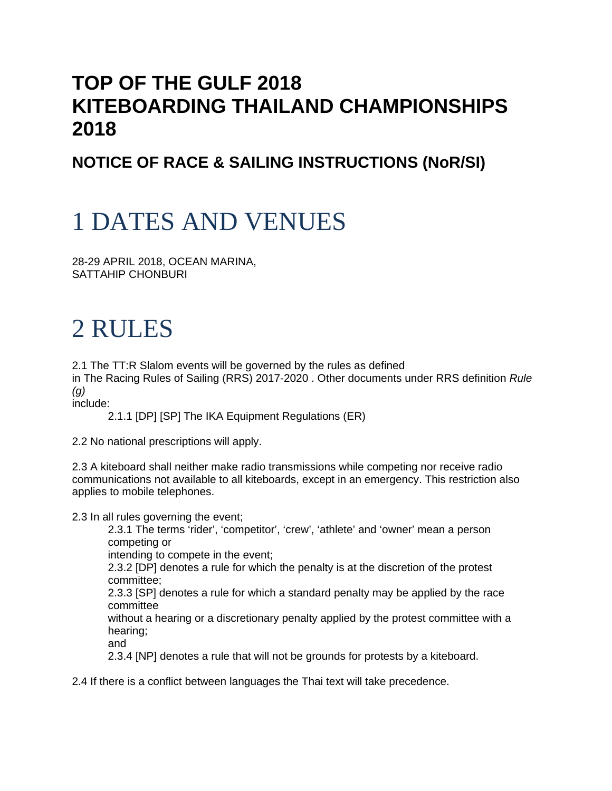#### **TOP OF THE GULF 2018 KITEBOARDING THAILAND CHAMPIONSHIPS 2018**

#### **NOTICE OF RACE & SAILING INSTRUCTIONS (NoR/SI)**

# 1 DATES AND VENUES

28-29 APRIL 2018, OCEAN MARINA, SATTAHIP CHONBURI

# 2 RULES

2.1 The TT:R Slalom events will be governed by the rules as defined

in The Racing Rules of Sailing (RRS) 2017-2020 . Other documents under RRS definition *Rule (g)*

include:

2.1.1 [DP] [SP] The IKA Equipment Regulations (ER)

2.2 No national prescriptions will apply.

2.3 A kiteboard shall neither make radio transmissions while competing nor receive radio communications not available to all kiteboards, except in an emergency. This restriction also applies to mobile telephones.

2.3 In all rules governing the event;

2.3.1 The terms 'rider', 'competitor', 'crew', 'athlete' and 'owner' mean a person competing or

intending to compete in the event;

2.3.2 [DP] denotes a rule for which the penalty is at the discretion of the protest committee;

2.3.3 [SP] denotes a rule for which a standard penalty may be applied by the race committee

without a hearing or a discretionary penalty applied by the protest committee with a hearing;

and

2.3.4 [NP] denotes a rule that will not be grounds for protests by a kiteboard.

2.4 If there is a conflict between languages the Thai text will take precedence.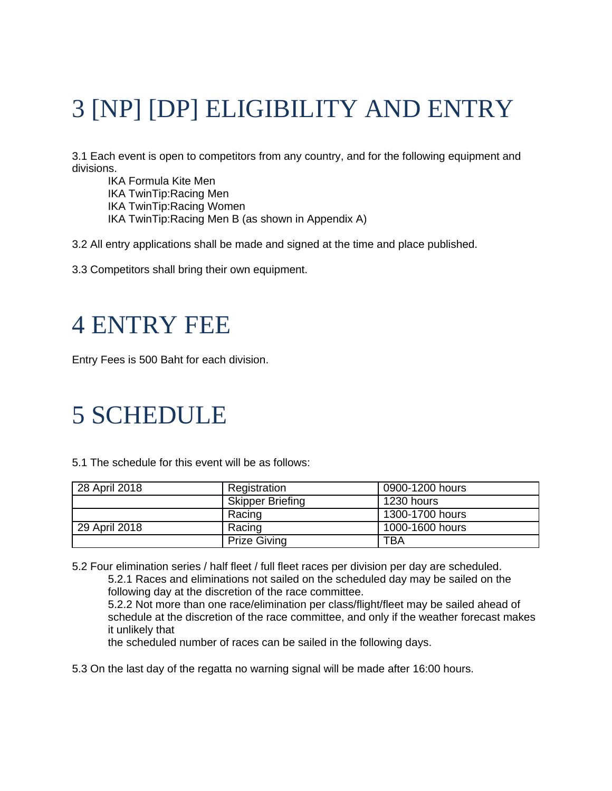# 3 [NP] [DP] ELIGIBILITY AND ENTRY

3.1 Each event is open to competitors from any country, and for the following equipment and divisions.

IKA Formula Kite Men IKA TwinTip:Racing Men IKA TwinTip:Racing Women IKA TwinTip:Racing Men B (as shown in Appendix A)

3.2 All entry applications shall be made and signed at the time and place published.

3.3 Competitors shall bring their own equipment.

#### 4 ENTRY FEE

Entry Fees is 500 Baht for each division.

#### 5 SCHEDULE

5.1 The schedule for this event will be as follows:

| 28 April 2018 | Registration                          | 0900-1200 hours |  |
|---------------|---------------------------------------|-----------------|--|
|               | <b>Skipper Briefing</b><br>1230 hours |                 |  |
|               | Racing                                | 1300-1700 hours |  |
| 29 April 2018 | Racing                                | 1000-1600 hours |  |
|               | <b>Prize Giving</b>                   | <b>TBA</b>      |  |

5.2 Four elimination series / half fleet / full fleet races per division per day are scheduled. 5.2.1 Races and eliminations not sailed on the scheduled day may be sailed on the following day at the discretion of the race committee. 5.2.2 Not more than one race/elimination per class/flight/fleet may be sailed ahead of schedule at the discretion of the race committee, and only if the weather forecast makes it unlikely that

the scheduled number of races can be sailed in the following days.

5.3 On the last day of the regatta no warning signal will be made after 16:00 hours.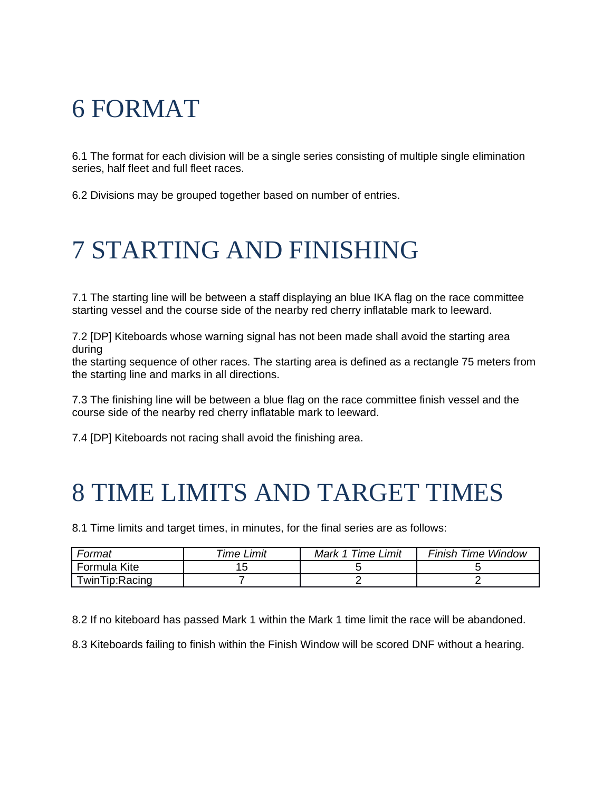## 6 FORMAT

6.1 The format for each division will be a single series consisting of multiple single elimination series, half fleet and full fleet races.

6.2 Divisions may be grouped together based on number of entries.

### 7 STARTING AND FINISHING

7.1 The starting line will be between a staff displaying an blue IKA flag on the race committee starting vessel and the course side of the nearby red cherry inflatable mark to leeward.

7.2 [DP] Kiteboards whose warning signal has not been made shall avoid the starting area during

the starting sequence of other races. The starting area is defined as a rectangle 75 meters from the starting line and marks in all directions.

7.3 The finishing line will be between a blue flag on the race committee finish vessel and the course side of the nearby red cherry inflatable mark to leeward.

7.4 [DP] Kiteboards not racing shall avoid the finishing area.

### 8 TIME LIMITS AND TARGET TIMES

8.1 Time limits and target times, in minutes, for the final series are as follows:

| Format         | <sup>-</sup> ime Limit | Mark 1 Time Limit | <b>Finish Time Window</b> |
|----------------|------------------------|-------------------|---------------------------|
| Formula Kite   |                        |                   |                           |
| TwinTip:Racing |                        |                   |                           |

8.2 If no kiteboard has passed Mark 1 within the Mark 1 time limit the race will be abandoned.

8.3 Kiteboards failing to finish within the Finish Window will be scored DNF without a hearing.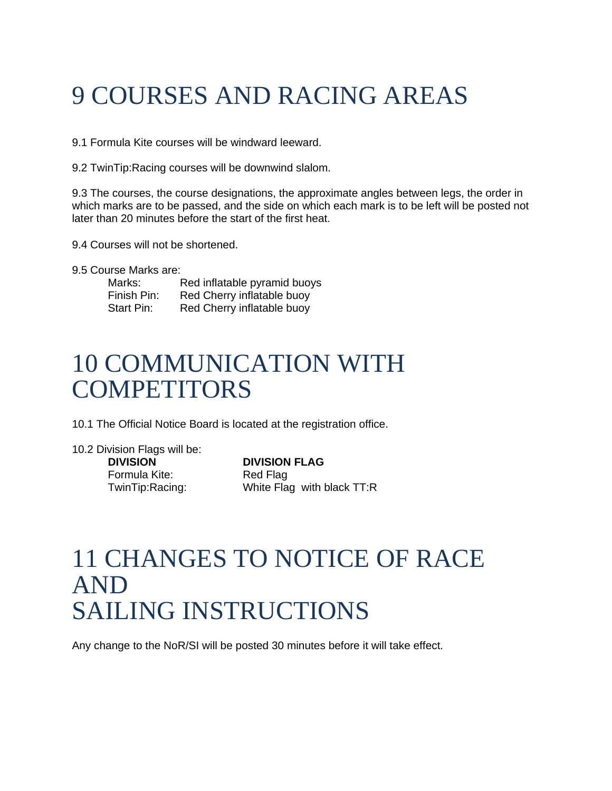# 9 COURSES AND RACING AREAS

9.1 Formula Kite courses will be windward leeward.

9.2 TwinTip:Racing courses will be downwind slalom.

9.3 The courses, the course designations, the approximate angles between legs, the order in which marks are to be passed, and the side on which each mark is to be left will be posted not later than 20 minutes before the start of the first heat.

9.4 Courses will not be shortened.

9.5 Course Marks are:

Marks: Red inflatable pyramid buoys Finish Pin: Red Cherry inflatable buoy<br>Start Pin: Red Cherry inflatable buoy Red Cherry inflatable buoy

#### 10 COMMUNICATION WITH **COMPETITORS**

10.1 The Official Notice Board is located at the registration office.

10.2 Division Flags will be: **DIVISION DIVISION FLAG**  Formula Kite: Red Flag

TwinTip:Racing: White Flag with black TT:R

#### 11 CHANGES TO NOTICE OF RACE AND SAILING INSTRUCTIONS

Any change to the NoR/SI will be posted 30 minutes before it will take effect.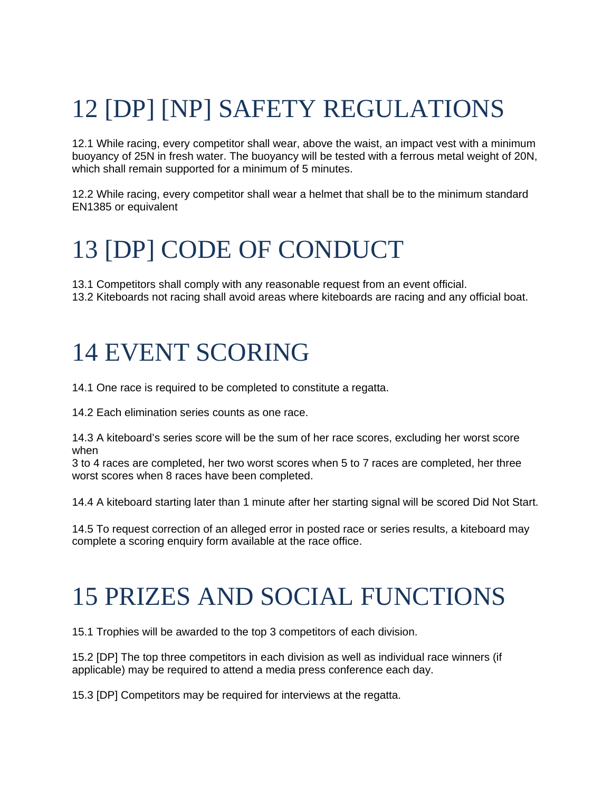# 12 [DP] [NP] SAFETY REGULATIONS

12.1 While racing, every competitor shall wear, above the waist, an impact vest with a minimum buoyancy of 25N in fresh water. The buoyancy will be tested with a ferrous metal weight of 20N, which shall remain supported for a minimum of 5 minutes.

12.2 While racing, every competitor shall wear a helmet that shall be to the minimum standard EN1385 or equivalent

## 13 [DP] CODE OF CONDUCT

13.1 Competitors shall comply with any reasonable request from an event official. 13.2 Kiteboards not racing shall avoid areas where kiteboards are racing and any official boat.

#### 14 EVENT SCORING

14.1 One race is required to be completed to constitute a regatta.

14.2 Each elimination series counts as one race.

14.3 A kiteboard's series score will be the sum of her race scores, excluding her worst score when

3 to 4 races are completed, her two worst scores when 5 to 7 races are completed, her three worst scores when 8 races have been completed.

14.4 A kiteboard starting later than 1 minute after her starting signal will be scored Did Not Start.

14.5 To request correction of an alleged error in posted race or series results, a kiteboard may complete a scoring enquiry form available at the race office.

### 15 PRIZES AND SOCIAL FUNCTIONS

15.1 Trophies will be awarded to the top 3 competitors of each division.

15.2 [DP] The top three competitors in each division as well as individual race winners (if applicable) may be required to attend a media press conference each day.

15.3 [DP] Competitors may be required for interviews at the regatta.